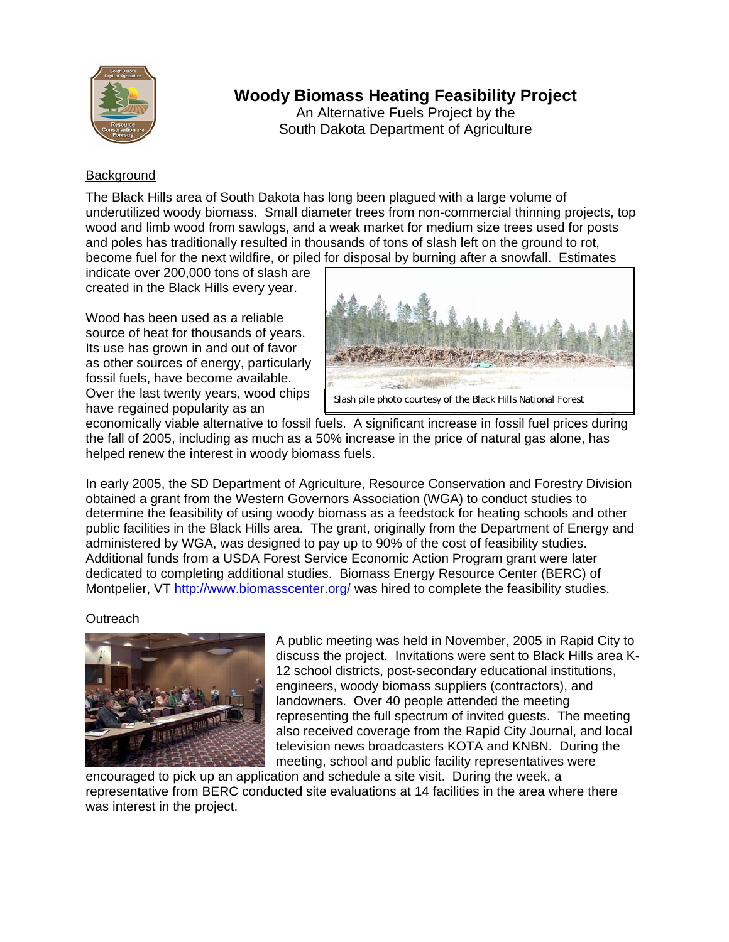

# **Woody Biomass Heating Feasibility Project**

An Alternative Fuels Project by the South Dakota Department of Agriculture

## **Background**

The Black Hills area of South Dakota has long been plagued with a large volume of underutilized woody biomass. Small diameter trees from non-commercial thinning projects, top wood and limb wood from sawlogs, and a weak market for medium size trees used for posts and poles has traditionally resulted in thousands of tons of slash left on the ground to rot, become fuel for the next wildfire, or piled for disposal by burning after a snowfall. Estimates

indicate over 200,000 tons of slash are created in the Black Hills every year.

Wood has been used as a reliable source of heat for thousands of years. Its use has grown in and out of favor as other sources of energy, particularly fossil fuels, have become available. Over the last twenty years, wood chips have regained popularity as an



economically viable alternative to fossil fuels. A significant increase in fossil fuel prices during the fall of 2005, including as much as a 50% increase in the price of natural gas alone, has helped renew the interest in woody biomass fuels.

In early 2005, the SD Department of Agriculture, Resource Conservation and Forestry Division obtained a grant from the Western Governors Association (WGA) to conduct studies to determine the feasibility of using woody biomass as a feedstock for heating schools and other public facilities in the Black Hills area. The grant, originally from the Department of Energy and administered by WGA, was designed to pay up to 90% of the cost of feasibility studies. Additional funds from a USDA Forest Service Economic Action Program grant were later dedicated to completing additional studies. Biomass Energy Resource Center (BERC) of Montpelier, VT http://www.biomasscenter.org/ was hired to complete the feasibility studies.

## Outreach



A public meeting was held in November, 2005 in Rapid City to discuss the project. Invitations were sent to Black Hills area K-12 school districts, post-secondary educational institutions, engineers, woody biomass suppliers (contractors), and landowners. Over 40 people attended the meeting representing the full spectrum of invited guests. The meeting also received coverage from the Rapid City Journal, and local television news broadcasters KOTA and KNBN. During the meeting, school and public facility representatives were

encouraged to pick up an application and schedule a site visit. During the week, a representative from BERC conducted site evaluations at 14 facilities in the area where there was interest in the project.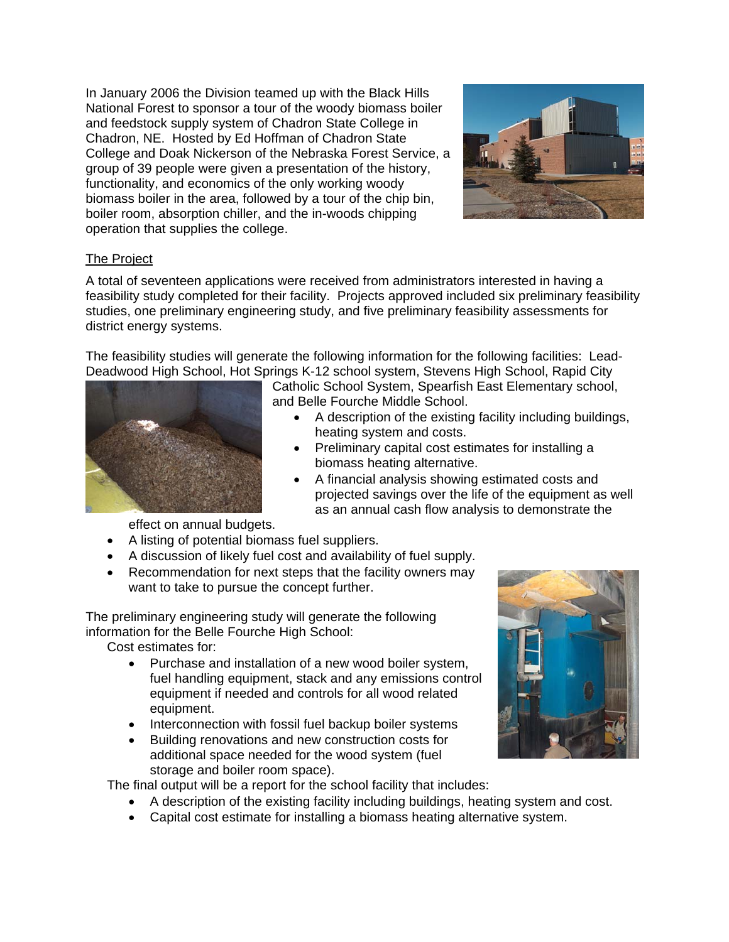In January 2006 the Division teamed up with the Black Hills National Forest to sponsor a tour of the woody biomass boiler and feedstock supply system of Chadron State College in Chadron, NE. Hosted by Ed Hoffman of Chadron State College and Doak Nickerson of the Nebraska Forest Service, a group of 39 people were given a presentation of the history, functionality, and economics of the only working woody biomass boiler in the area, followed by a tour of the chip bin, boiler room, absorption chiller, and the in-woods chipping operation that supplies the college.



## The Project

A total of seventeen applications were received from administrators interested in having a feasibility study completed for their facility. Projects approved included six preliminary feasibility studies, one preliminary engineering study, and five preliminary feasibility assessments for district energy systems.

The feasibility studies will generate the following information for the following facilities: Lead-Deadwood High School, Hot Springs K-12 school system, Stevens High School, Rapid City



Catholic School System, Spearfish East Elementary school, and Belle Fourche Middle School.

- A description of the existing facility including buildings, heating system and costs.
- Preliminary capital cost estimates for installing a biomass heating alternative.
- A financial analysis showing estimated costs and projected savings over the life of the equipment as well as an annual cash flow analysis to demonstrate the

effect on annual budgets.

- A listing of potential biomass fuel suppliers.
- A discussion of likely fuel cost and availability of fuel supply.
- Recommendation for next steps that the facility owners may want to take to pursue the concept further.

The preliminary engineering study will generate the following information for the Belle Fourche High School:

Cost estimates for:

- Purchase and installation of a new wood boiler system, fuel handling equipment, stack and any emissions control equipment if needed and controls for all wood related equipment.
- Interconnection with fossil fuel backup boiler systems
- Building renovations and new construction costs for additional space needed for the wood system (fuel storage and boiler room space).

The final output will be a report for the school facility that includes:

- A description of the existing facility including buildings, heating system and cost.
- Capital cost estimate for installing a biomass heating alternative system.

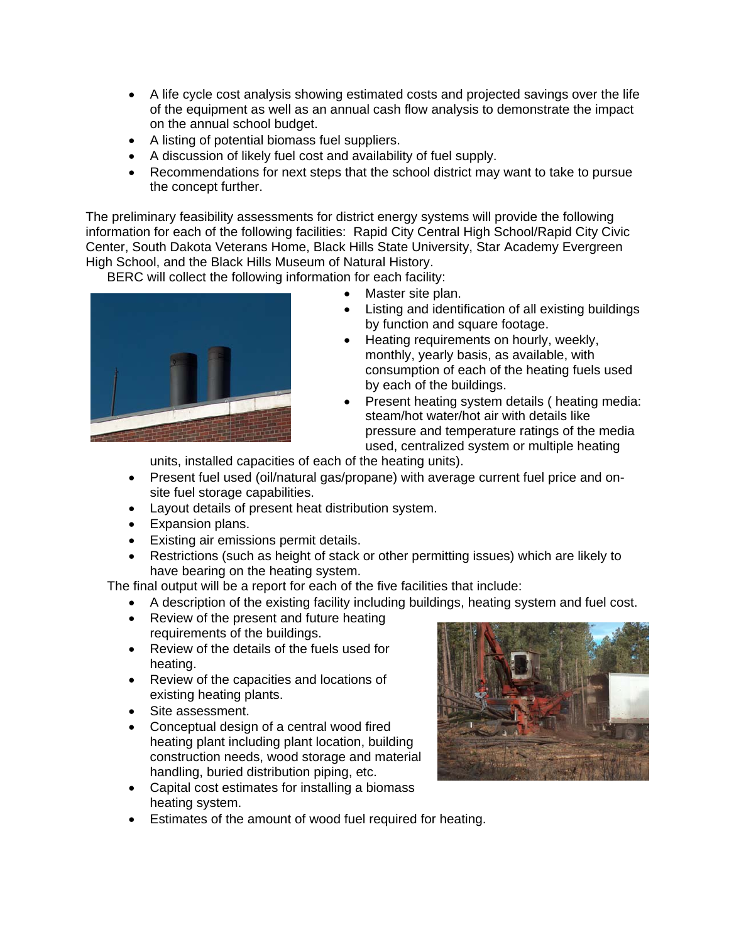- A life cycle cost analysis showing estimated costs and projected savings over the life of the equipment as well as an annual cash flow analysis to demonstrate the impact on the annual school budget.
- A listing of potential biomass fuel suppliers.
- A discussion of likely fuel cost and availability of fuel supply.
- Recommendations for next steps that the school district may want to take to pursue the concept further.

The preliminary feasibility assessments for district energy systems will provide the following information for each of the following facilities: Rapid City Central High School/Rapid City Civic Center, South Dakota Veterans Home, Black Hills State University, Star Academy Evergreen High School, and the Black Hills Museum of Natural History.

BERC will collect the following information for each facility:



- Master site plan.
- Listing and identification of all existing buildings by function and square footage.
- Heating requirements on hourly, weekly, monthly, yearly basis, as available, with consumption of each of the heating fuels used by each of the buildings.
- Present heating system details ( heating media: steam/hot water/hot air with details like pressure and temperature ratings of the media used, centralized system or multiple heating

units, installed capacities of each of the heating units).

- Present fuel used (oil/natural gas/propane) with average current fuel price and onsite fuel storage capabilities.
- Layout details of present heat distribution system.
- Expansion plans.
- Existing air emissions permit details.
- Restrictions (such as height of stack or other permitting issues) which are likely to have bearing on the heating system.

The final output will be a report for each of the five facilities that include:

- A description of the existing facility including buildings, heating system and fuel cost.
	- Review of the present and future heating requirements of the buildings.
	- Review of the details of the fuels used for heating.
	- Review of the capacities and locations of existing heating plants.
	- Site assessment.
	- Conceptual design of a central wood fired heating plant including plant location, building construction needs, wood storage and material handling, buried distribution piping, etc.
	- Capital cost estimates for installing a biomass heating system.
	- Estimates of the amount of wood fuel required for heating.